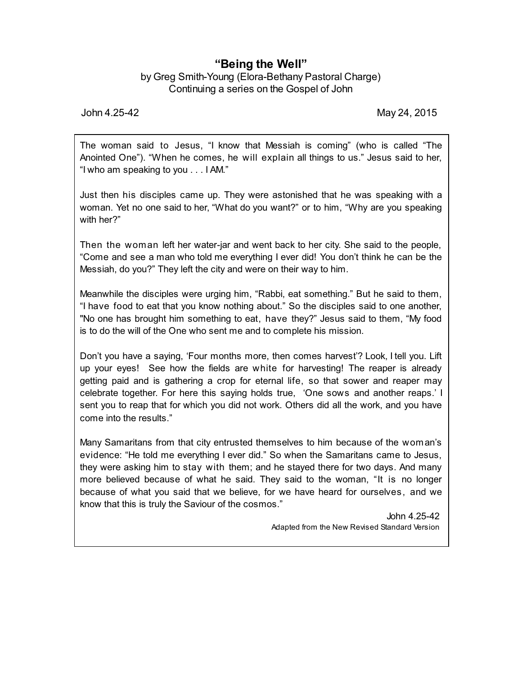## **"Being the Well"**

by Greg Smith-Young (Elora-Bethany Pastoral Charge) Continuing a series on the Gospel of John

John 4.25-42 May 24, 2015

The woman said to Jesus, "I know that Messiah is coming" (who is called "The Anointed One"). "When he comes, he will explain all things to us." Jesus said to her, "I who am speaking to you . . . I AM."

Just then his disciples came up. They were astonished that he was speaking with a woman. Yet no one said to her, "What do you want?" or to him, "Why are you speaking with her?"

Then the woman left her water-jar and went back to her city. She said to the people, "Come and see a man who told me everything I ever did! You don't think he can be the Messiah, do you?" They left the city and were on their way to him.

Meanwhile the disciples were urging him, "Rabbi, eat something." But he said to them, "I have food to eat that you know nothing about." So the disciples said to one another, "No one has brought him something to eat, have they?" Jesus said to them, "My food is to do the will of the One who sent me and to complete his mission.

Don't you have a saying, 'Four months more, then comes harvest'? Look, I tell you. Lift up your eyes! See how the fields are white for harvesting! The reaper is already getting paid and is gathering a crop for eternal life, so that sower and reaper may celebrate together. For here this saying holds true, 'One sows and another reaps.' I sent you to reap that for which you did not work. Others did all the work, and you have come into the results."

Many Samaritans from that city entrusted themselves to him because of the woman's evidence: "He told me everything I ever did." So when the Samaritans came to Jesus, they were asking him to stay with them; and he stayed there for two days. And many more believed because of what he said. They said to the woman, "It is no longer because of what you said that we believe, for we have heard for ourselves, and we know that this is truly the Saviour of the cosmos."

> John 4.25-42 Adapted from the New Revised Standard Version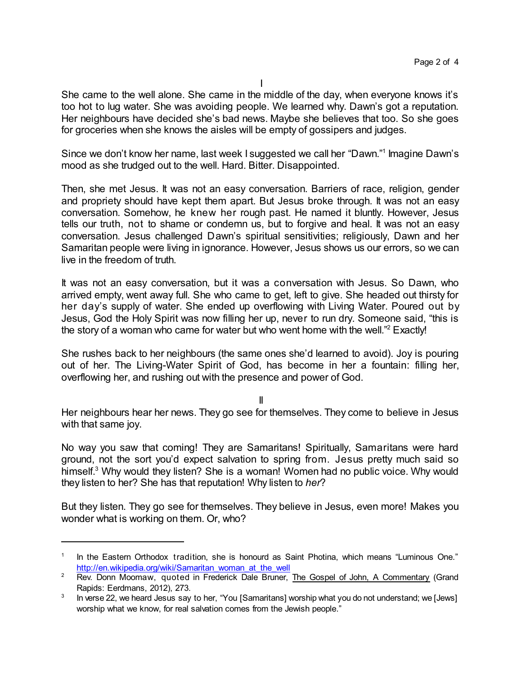She came to the well alone. She came in the middle of the day, when everyone knows it's too hot to lug water. She was avoiding people. We learned why. Dawn's got a reputation. Her neighbours have decided she's bad news. Maybe she believes that too. So she goes for groceries when she knows the aisles will be empty of gossipers and judges.

Since we don't know her name, last week I suggested we call her "Dawn." 1 Imagine Dawn's mood as she trudged out to the well. Hard. Bitter. Disappointed.

Then, she met Jesus. It was not an easy conversation. Barriers of race, religion, gender and propriety should have kept them apart. But Jesus broke through. It was not an easy conversation. Somehow, he knew her rough past. He named it bluntly. However, Jesus tells our truth, not to shame or condemn us, but to forgive and heal. It was not an easy conversation. Jesus challenged Dawn's spiritual sensitivities; religiously, Dawn and her Samaritan people were living in ignorance. However, Jesus shows us our errors, so we can live in the freedom of truth.

It was not an easy conversation, but it was a conversation with Jesus. So Dawn, who arrived empty, went away full. She who came to get, left to give. She headed out thirsty for her day's supply of water. She ended up overflowing with Living Water. Poured out by Jesus, God the Holy Spirit was now filling her up, never to run dry. Someone said, "this is the story of a woman who came for water but who went home with the well." <sup>2</sup> Exactly!

She rushes back to her neighbours (the same ones she'd learned to avoid). Joy is pouring out of her. The Living-Water Spirit of God, has become in her a fountain: filling her, overflowing her, and rushing out with the presence and power of God.

II

Her neighbours hear her news. They go see for themselves. They come to believe in Jesus with that same joy.

No way you saw that coming! They are Samaritans! Spiritually, Samaritans were hard ground, not the sort you'd expect salvation to spring from. Jesus pretty much said so himself. <sup>3</sup> Why would they listen? She is a woman! Women had no public voice. Why would they listen to her? She has that reputation! Why listen to *her*?

But they listen. They go see for themselves. They believe in Jesus, even more! Makes you wonder what is working on them. Or, who?

<sup>1</sup> In the Eastern Orthodox tradition, she is honourd as Saint Photina, which means "Luminous One." [http://en.wikipedia.org/wiki/Samaritan\\_woman\\_at\\_the\\_well](http://en.wikipedia.org/wiki/Samaritan_woman_at_the_well)

<sup>&</sup>lt;sup>2</sup> Rev. Donn Moomaw, quoted in Frederick Dale Bruner, The Gospel of John, A Commentary (Grand Rapids: Eerdmans, 2012), 273.

<sup>3</sup> In verse 22, we heard Jesus say to her, "You [Samaritans] worship what you do not understand; we [Jews] worship what we know, for real salvation comes from the Jewish people."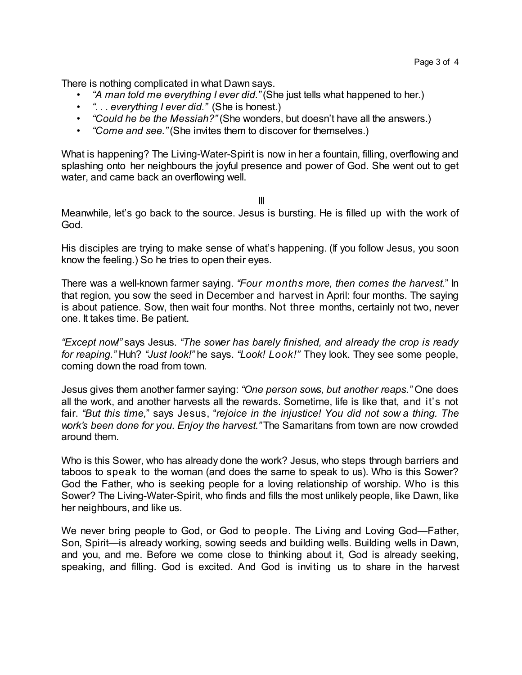There is nothing complicated in what Dawn says.

- *"A man told me everything I ever did."* (She just tells what happened to her.)
- *". . . everything I ever did."* (She is honest.)
- *"Could he be the Messiah?"* (She wonders, but doesn't have all the answers.)
- *"Come and see."* (She invites them to discover for themselves.)

What is happening? The Living-Water-Spirit is now in her a fountain, filling, overflowing and splashing onto her neighbours the joyful presence and power of God. She went out to get water, and came back an overflowing well.

III

Meanwhile, let's go back to the source. Jesus is bursting. He is filled up with the work of God.

His disciples are trying to make sense of what's happening. (If you follow Jesus, you soon know the feeling.) So he tries to open their eyes.

There was a well-known farmer saying. *"Four months more, then comes the harvest.*" In that region, you sow the seed in December and harvest in April: four months. The saying is about patience. Sow, then wait four months. Not three months, certainly not two, never one. It takes time. Be patient.

*"Except now!"* says Jesus. *"The sower has barely finished, and already the crop is ready for reaping."* Huh? *"Just look!"* he says. *"Look! Look!"* They look. They see some people, coming down the road from town.

Jesus gives them another farmer saying: *"One person sows, but another reaps."* One does all the work, and another harvests all the rewards. Sometime, life is like that, and it's not fair. *"But this time,*" says Jesus, "*rejoice in the injustice! You did not sow a thing. The work's been done for you. Enjoy the harvest."* The Samaritans from town are now crowded around them.

Who is this Sower, who has already done the work? Jesus, who steps through barriers and taboos to speak to the woman (and does the same to speak to us). Who is this Sower? God the Father, who is seeking people for a loving relationship of worship. Who is this Sower? The Living-Water-Spirit, who finds and fills the most unlikely people, like Dawn, like her neighbours, and like us.

We never bring people to God, or God to people. The Living and Loving God—Father, Son, Spirit—is already working, sowing seeds and building wells. Building wells in Dawn, and you, and me. Before we come close to thinking about it, God is already seeking, speaking, and filling. God is excited. And God is inviting us to share in the harvest